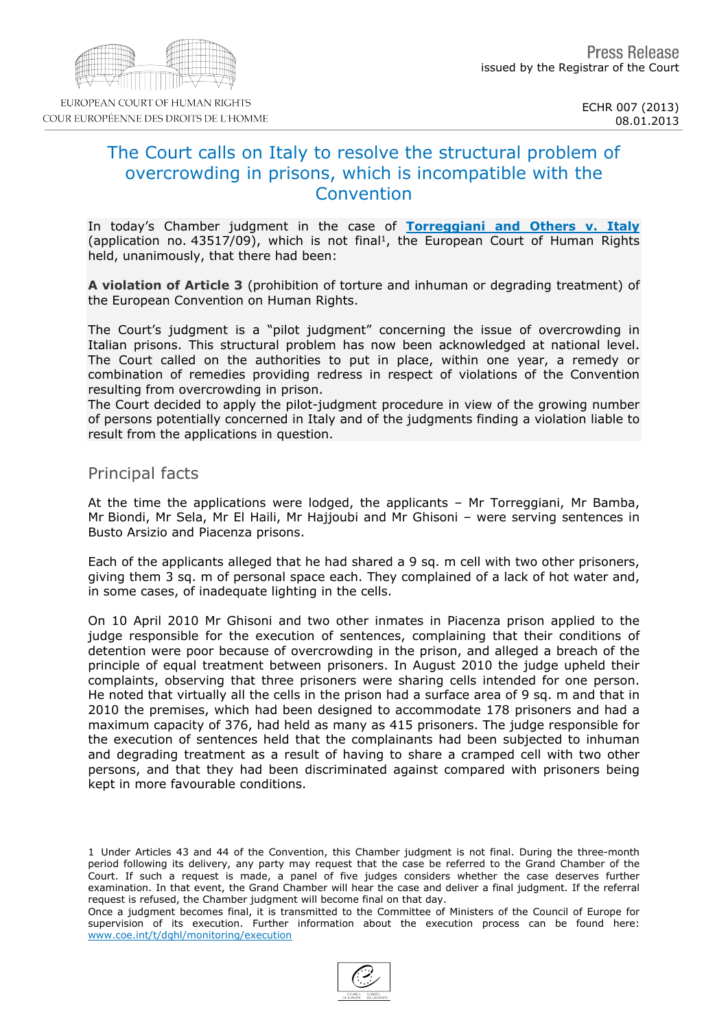#### 08.01.2013

# The Court calls on Italy to resolve the structural problem of overcrowding in prisons, which is incompatible with the **Convention**

In today's Chamber judgment in the case of [Torreggiani](http://hudoc.echr.coe.int/sites/eng/pages/search.aspx?i=001-115860) [and](http://hudoc.echr.coe.int/sites/eng/pages/search.aspx?i=001-115860) [Others](http://hudoc.echr.coe.int/sites/eng/pages/search.aspx?i=001-115860) [v.](http://hudoc.echr.coe.int/sites/eng/pages/search.aspx?i=001-115860) [Italy](http://hudoc.echr.coe.int/sites/eng/pages/search.aspx?i=001-115860) (application no.  $43517/09$ ), which is not final<sup>1</sup>, the European Court of Human Rights held, unanimously, that there had been:

A violation of Article 3 (prohibition of torture and inhuman or degrading treatment) of the European Convention on Human Rights.

The Court's judgment is a "pilot judgment" concerning the issue of overcrowding in Italian prisons. This structural problem has now been acknowledged at national level. The Court called on the authorities to put in place, within one year, a remedy or combination of remedies providing redress in respect of violations of the Convention resulting from overcrowding in prison.

The Court decided to apply the pilot-judgment procedure in view of the growing number of persons potentially concerned in Italy and of the judgments finding a violation liable to result from the applications in question.

## Principal facts

At the time the applications were lodged, the applicants – Mr Torreggiani, Mr Bamba, Mr Biondi, Mr Sela, Mr El Haili, Mr Hajjoubi and Mr Ghisoni – were serving sentences in Busto Arsizio and Piacenza prisons.

Each of the applicants alleged that he had shared a 9 sq. m cell with two other prisoners, giving them 3 sq. m of personal space each. They complained of a lack of hot water and, in some cases, of inadequate lighting in the cells.

On 10 April 2010 Mr Ghisoni and two other inmates in Piacenza prison applied to the judge responsible for the execution of sentences, complaining that their conditions of detention were poor because of overcrowding in the prison, and alleged a breach of the principle of equal treatment between prisoners. In August 2010 the judge upheld their complaints, observing that three prisoners were sharing cells intended for one person. He noted that virtually all the cells in the prison had a surface area of 9 sq. m and that in 2010 the premises, which had been designed to accommodate 178 prisoners and had a maximum capacity of 376, had held as many as 415 prisoners. The judge responsible for the execution of sentences held that the complainants had been subjected to inhuman and degrading treatment as a result of having to share a cramped cell with two other persons, and that they had been discriminated against compared with prisoners being kept in more favourable conditions.

1 Under Articles 43 and 44 of the Convention, this Chamber judgment is not final. During the three-month period following its delivery, any party may request that the case be referred to the Grand Chamber of the Court. If such a request is made, a panel of five judges considers whether the case deserves further examination. In that event, the Grand Chamber will hear the case and deliver a final judgment. If the referral request is refused, the Chamber judgment will become final on that day.

Once a judgment becomes final, it is transmitted to the Committee of Ministers of the Council of Europe for supervision of its execution. Further information about the execution process can be found here: [www.coe.int/t/dghl/monitoring/execution](http://www.coe.int/t/dghl/monitoring/execution)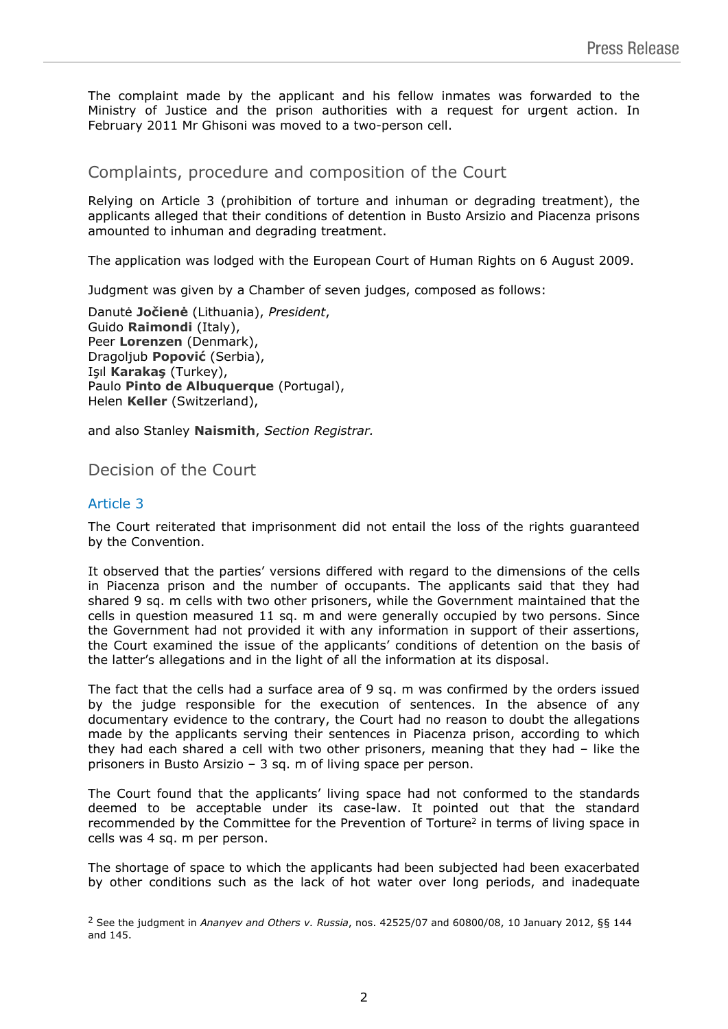The complaint made by the applicant and his fellow inmates was forwarded to the Ministry of Justice and the prison authorities with a request for urgent action. In February 2011 Mr Ghisoni was moved to a two-person cell.

Complaints, procedure and composition of the Court

Relying on Article 3 (prohibition of torture and inhuman or degrading treatment), the applicants alleged that their conditions of detention in Busto Arsizio and Piacenza prisons amounted to inhuman and degrading treatment.

The application was lodged with the European Court of Human Rights on 6 August 2009.

Judgment was given by a Chamber of seven judges, composed as follows:

Danutė **Jočienė** (Lithuania), *President*, Guido **Raimondi** (Italy), Peer **Lorenzen** (Denmark), Dragoljub **Popović** (Serbia), Işıl **Karakaş** (Turkey), Paulo **Pinto de Albuquerque** (Portugal), Helen **Keller** (Switzerland),

and also Stanley **Naismith**, *Section Registrar.*

Decision of the Court

## Article 3

The Court reiterated that imprisonment did not entail the loss of the rights guaranteed by the Convention.

It observed that the parties' versions differed with regard to the dimensions of the cells in Piacenza prison and the number of occupants. The applicants said that they had shared 9 sq. m cells with two other prisoners, while the Government maintained that the cells in question measured 11 sq. m and were generally occupied by two persons. Since the Government had not provided it with any information in support of their assertions, the Court examined the issue of the applicants' conditions of detention on the basis of the latter's allegations and in the light of all the information at its disposal.

The fact that the cells had a surface area of 9 sq. m was confirmed by the orders issued by the judge responsible for the execution of sentences. In the absence of any documentary evidence to the contrary, the Court had no reason to doubt the allegations made by the applicants serving their sentences in Piacenza prison, according to which they had each shared a cell with two other prisoners, meaning that they had – like the prisoners in Busto Arsizio – 3 sq. m of living space per person.

The Court found that the applicants' living space had not conformed to the standards deemed to be acceptable under its case-law. It pointed out that the standard recommended by the Committee for the Prevention of Torture<sup>2</sup> in terms of living space in cells was 4 sq. m per person.

The shortage of space to which the applicants had been subjected had been exacerbated by other conditions such as the lack of hot water over long periods, and inadequate

<sup>2</sup> See the judgment in *Ananyev and Others v. Russia*, nos. 42525/07 and 60800/08, 10 January 2012, §§ 144 and 145.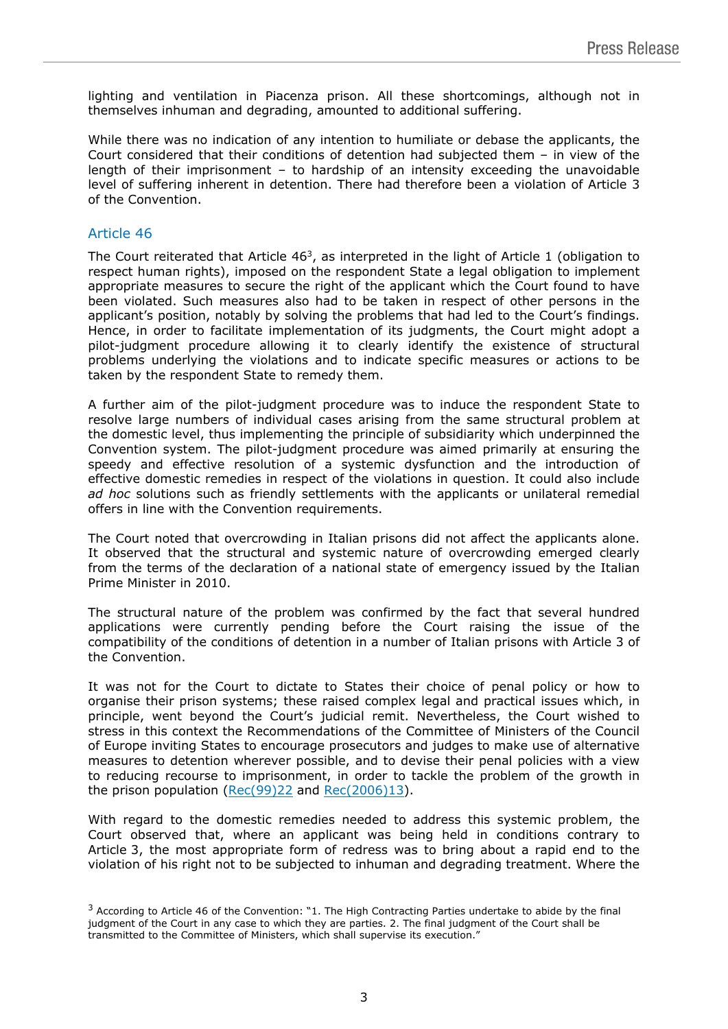lighting and ventilation in Piacenza prison. All these shortcomings, although not in themselves inhuman and degrading, amounted to additional suffering.

While there was no indication of any intention to humiliate or debase the applicants, the Court considered that their conditions of detention had subjected them – in view of the length of their imprisonment – to hardship of an intensity exceeding the unavoidable level of suffering inherent in detention. There had therefore been a violation of Article 3 of the Convention.

### Article 46

The Court reiterated that Article  $46^3$ , as interpreted in the light of Article 1 (obligation to respect human rights), imposed on the respondent State a legal obligation to implement appropriate measures to secure the right of the applicant which the Court found to have been violated. Such measures also had to be taken in respect of other persons in the applicant's position, notably by solving the problems that had led to the Court's findings. Hence, in order to facilitate implementation of its judgments, the Court might adopt a pilot-judgment procedure allowing it to clearly identify the existence of structural problems underlying the violations and to indicate specific measures or actions to be taken by the respondent State to remedy them.

A further aim of the pilot-judgment procedure was to induce the respondent State to resolve large numbers of individual cases arising from the same structural problem at the domestic level, thus implementing the principle of subsidiarity which underpinned the Convention system. The pilot-judgment procedure was aimed primarily at ensuring the speedy and effective resolution of a systemic dysfunction and the introduction of effective domestic remedies in respect of the violations in question. It could also include ad hoc solutions such as friendly settlements with the applicants or unilateral remedial offers in line with the Convention requirements.

The Court noted that overcrowding in Italian prisons did not affect the applicants alone. It observed that the structural and systemic nature of overcrowding emerged clearly from the terms of the declaration of a national state of emergency issued by the Italian Prime Minister in 2010.

The structural nature of the problem was confirmed by the fact that several hundred applications were currently pending before the Court raising the issue of the compatibility of the conditions of detention in a number of Italian prisons with Article 3 of the Convention.

It was not for the Court to dictate to States their choice of penal policy or how to organise their prison systems; these raised complex legal and practical issues which, in principle, went beyond the Court's judicial remit. Nevertheless, the Court wished to stress in this context the Recommendations of the Committee of Ministers of the Council of Europe inviting States to encourage prosecutors and judges to make use of alternative measures to detention wherever possible, and to devise their penal policies with a view to reducing recourse to imprisonment, in order to tackle the problem of the growth in the prison population ([Rec\(99\)22](https://wcd.coe.int/com.instranet.InstraServlet?command=com.instranet.CmdBlobGet&InstranetImage=538633&SecMode=1&DocId=412108&Usage=2) and [Rec\(2006\)13\).](https://wcd.coe.int/ViewDoc.jsp?Ref=Rec(2006)13&Language=lanEnglish&Ver=original&Site=CM&BackColorInternet=DBDCF2&BackColorIntranet=FDC864&BackColorLogged=FDC864)

With regard to the domestic remedies needed to address this systemic problem, the Court observed that, where an applicant was being held in conditions contrary to Article 3, the most appropriate form of redress was to bring about a rapid end to the violation of his right not to be subjected to inhuman and degrading treatment. Where the

<sup>3</sup> According to Article 46 of the Convention: "1. The High Contracting Parties undertake to abide by the final judgment of the Court in any case to which they are parties. 2. The final judgment of the Court shall be transmitted to the Committee of Ministers, which shall supervise its execution."